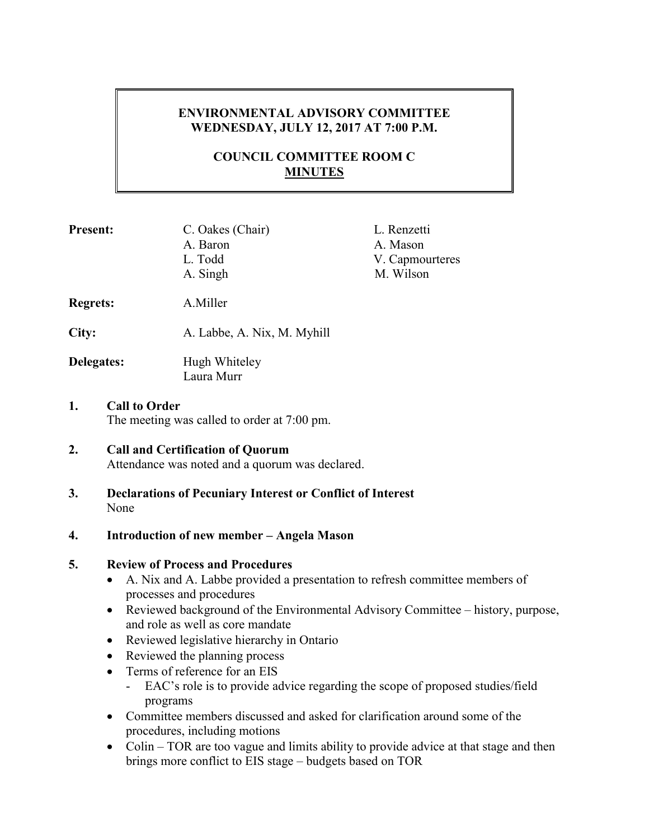# **ENVIRONMENTAL ADVISORY COMMITTEE WEDNESDAY, JULY 12, 2017 AT 7:00 P.M.**

# **COUNCIL COMMITTEE ROOM C MINUTES**

| <b>Present:</b>                                                           | C. Oakes (Chair)<br>A. Baron<br>L. Todd<br>A. Singh | L. Renzetti<br>A. Mason<br>V. Capmourteres<br>M. Wilson |
|---------------------------------------------------------------------------|-----------------------------------------------------|---------------------------------------------------------|
| <b>Regrets:</b>                                                           | A.Miller                                            |                                                         |
| City:                                                                     | A. Labbe, A. Nix, M. Myhill                         |                                                         |
| Delegates:                                                                | Hugh Whiteley<br>Laura Murr                         |                                                         |
| <b>Call to Order</b><br>1.<br>The meeting was called to order at 7:00 pm. |                                                     |                                                         |

# **2. Call and Certification of Quorum**

Attendance was noted and a quorum was declared.

**3. Declarations of Pecuniary Interest or Conflict of Interest**  None

## **4. Introduction of new member – Angela Mason**

## **5. Review of Process and Procedures**

- A. Nix and A. Labbe provided a presentation to refresh committee members of processes and procedures
- Reviewed background of the Environmental Advisory Committee history, purpose, and role as well as core mandate
- Reviewed legislative hierarchy in Ontario
- Reviewed the planning process
- Terms of reference for an EIS
	- EAC's role is to provide advice regarding the scope of proposed studies/field programs
- Committee members discussed and asked for clarification around some of the procedures, including motions
- Colin TOR are too vague and limits ability to provide advice at that stage and then brings more conflict to EIS stage – budgets based on TOR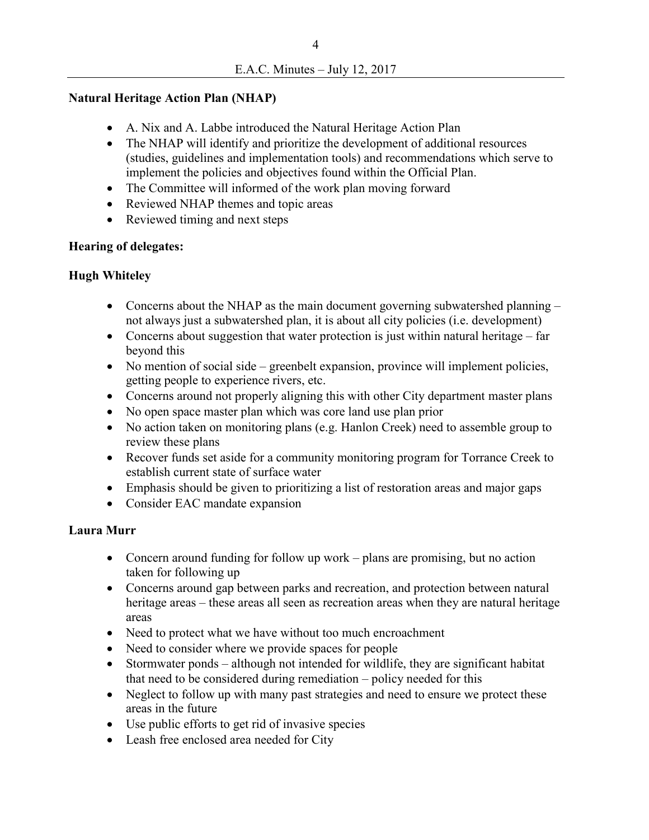#### **Natural Heritage Action Plan (NHAP)**

- A. Nix and A. Labbe introduced the Natural Heritage Action Plan
- The NHAP will identify and prioritize the development of additional resources (studies, guidelines and implementation tools) and recommendations which serve to implement the policies and objectives found within the Official Plan.
- The Committee will informed of the work plan moving forward
- Reviewed NHAP themes and topic areas
- Reviewed timing and next steps

#### **Hearing of delegates:**

## **Hugh Whiteley**

- Concerns about the NHAP as the main document governing subwatershed planning not always just a subwatershed plan, it is about all city policies (i.e. development)
- Concerns about suggestion that water protection is just within natural heritage far beyond this
- No mention of social side greenbelt expansion, province will implement policies, getting people to experience rivers, etc.
- Concerns around not properly aligning this with other City department master plans
- No open space master plan which was core land use plan prior
- No action taken on monitoring plans (e.g. Hanlon Creek) need to assemble group to review these plans
- Recover funds set aside for a community monitoring program for Torrance Creek to establish current state of surface water
- Emphasis should be given to prioritizing a list of restoration areas and major gaps
- Consider EAC mandate expansion

## **Laura Murr**

- Concern around funding for follow up work plans are promising, but no action taken for following up
- Concerns around gap between parks and recreation, and protection between natural heritage areas – these areas all seen as recreation areas when they are natural heritage areas
- Need to protect what we have without too much encroachment
- Need to consider where we provide spaces for people
- Stormwater ponds although not intended for wildlife, they are significant habitat that need to be considered during remediation – policy needed for this
- Neglect to follow up with many past strategies and need to ensure we protect these areas in the future
- Use public efforts to get rid of invasive species
- Leash free enclosed area needed for City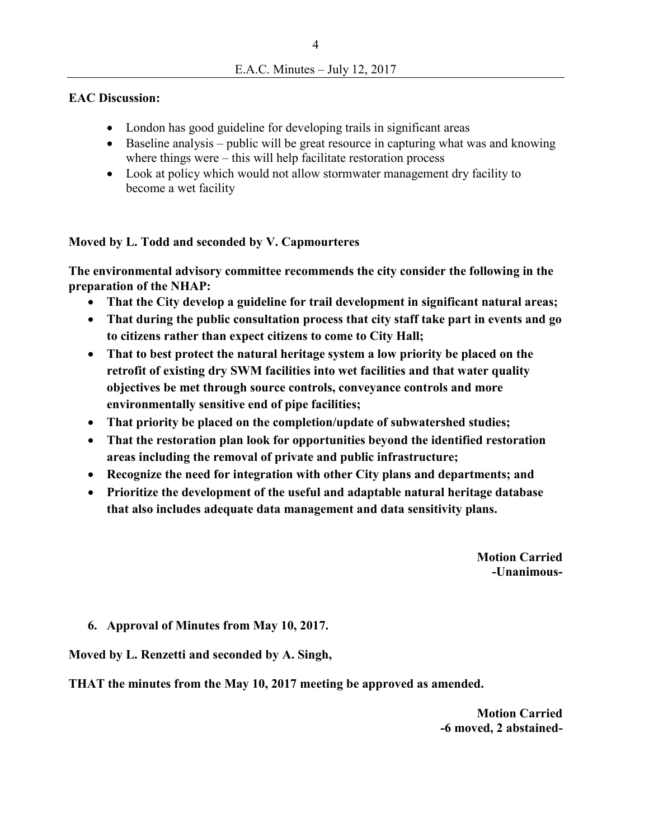## **EAC Discussion:**

- London has good guideline for developing trails in significant areas
- Baseline analysis public will be great resource in capturing what was and knowing where things were – this will help facilitate restoration process
- Look at policy which would not allow stormwater management dry facility to become a wet facility

# **Moved by L. Todd and seconded by V. Capmourteres**

**The environmental advisory committee recommends the city consider the following in the preparation of the NHAP:** 

- **That the City develop a guideline for trail development in significant natural areas;**
- **That during the public consultation process that city staff take part in events and go to citizens rather than expect citizens to come to City Hall;**
- **That to best protect the natural heritage system a low priority be placed on the retrofit of existing dry SWM facilities into wet facilities and that water quality objectives be met through source controls, conveyance controls and more environmentally sensitive end of pipe facilities;**
- **That priority be placed on the completion/update of subwatershed studies;**
- **That the restoration plan look for opportunities beyond the identified restoration areas including the removal of private and public infrastructure;**
- **Recognize the need for integration with other City plans and departments; and**
- **Prioritize the development of the useful and adaptable natural heritage database that also includes adequate data management and data sensitivity plans.**

**Motion Carried -Unanimous-**

**6. Approval of Minutes from May 10, 2017.**

**Moved by L. Renzetti and seconded by A. Singh,** 

**THAT the minutes from the May 10, 2017 meeting be approved as amended.** 

**Motion Carried -6 moved, 2 abstained-**